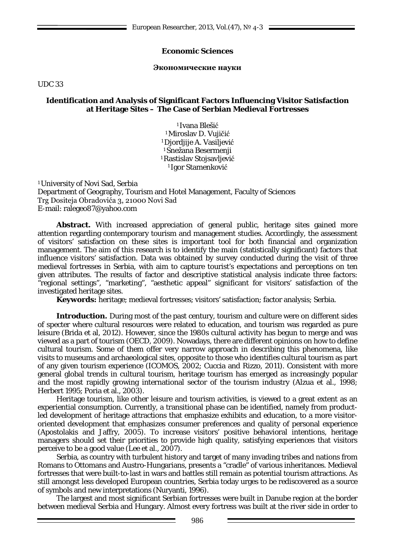# **Economic Sciences**

#### **Экономические науки**

UDC 33

# **Identification and Analysis of Significant Factors Influencing Visitor Satisfaction at Heritage Sites – The Case of Serbian Medieval Fortresses**

1 Ivana Blešić 1 Miroslav D. Vujičić 1 Djordjije A. Vasiljević 1 Snežana Besermenji 1 Rastislav Stojsavljević 1 Igor Stamenković

1 University of Novi Sad, Serbia Department of Geography, Tourism and Hotel Management, Faculty of Sciences Trg Dositeja Obradovića 3, 21000 Novi Sad E-mail: [ralegeo87@yahoo.com](mailto:ralegeo87@yahoo.com)

**Abstract.** With increased appreciation of general public, heritage sites gained more attention regarding contemporary tourism and management studies. Accordingly, the assessment of visitors' satisfaction on these sites is important tool for both financial and organization management. The aim of this research is to identify the main (statistically significant) factors that influence visitors' satisfaction. Data was obtained by survey conducted during the visit of three medieval fortresses in Serbia, with aim to capture tourist's expectations and perceptions on ten given attributes. The results of factor and descriptive statistical analysis indicate three factors: "regional settings", "marketing", "aesthetic appeal" significant for visitors' satisfaction of the investigated heritage sites.

**Keywords:** heritage; medieval fortresses; visitors' satisfaction; factor analysis; Serbia.

**Introduction.** During most of the past century, tourism and culture were on different sides of specter where cultural resources were related to education, and tourism was regarded as pure leisure (Brida et al, 2012). However, since the 1980s cultural activity has begun to merge and was viewed as a part of tourism (OECD, 2009). Nowadays, there are different opinions on how to define cultural tourism. Some of them offer very narrow approach in describing this phenomena, like visits to museums and archaeological sites, opposite to those who identifies cultural tourism as part of any given tourism experience (ICOMOS, 2002; Cuccia and Rizzo, 2011). Consistent with more general global trends in cultural tourism, heritage tourism has emerged as increasingly popular and the most rapidly growing international sector of the tourism industry (Alzua et al., 1998; Herbert 1995; Poria et al., 2003).

Heritage tourism, like other leisure and tourism activities, is viewed to a great extent as an experiential consumption. Currently, a transitional phase can be identified, namely from productled development of heritage attractions that emphasize exhibits and education, to a more visitororiented development that emphasizes consumer preferences and quality of personal experience (Apostolakis and Jaffry, 2005). To increase visitors' positive behavioral intentions, heritage managers should set their priorities to provide high quality, satisfying experiences that visitors perceive to be a good value (Lee et al., 2007).

Serbia, as country with turbulent history and target of many invading tribes and nations from Romans to Ottomans and Austro-Hungarians, presents a "cradle" of various inheritances. Medieval fortresses that were built-to-last in wars and battles still remain as potential tourism attractions. As still amongst less developed European countries, Serbia today urges to be rediscovered as a source of symbols and new interpretations (Nuryanti, 1996).

The largest and most significant Serbian fortresses were built in Danube region at the border between medieval Serbia and Hungary. Almost every fortress was built at the river side in order to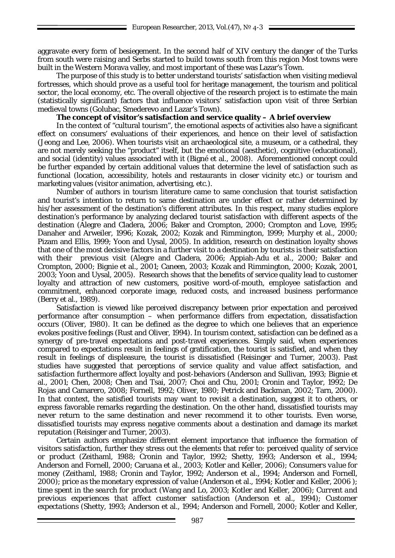aggravate every form of besiegement. In the second half of XIV century the danger of the Turks from south were raising and Serbs started to build towns south from this region Most towns were built in the Western Morava valley, and most important of these was Lazar's Town.

The purpose of this study is to better understand tourists' satisfaction when visiting medieval fortresses, which should prove as a useful tool for heritage management, the tourism and political sector, the local economy, etc. The overall objective of the research project is to estimate the main (statistically significant) factors that influence visitors' satisfaction upon visit of three Serbian medieval towns (Golubac, Smederevo and Lazar's Town).

# **The concept of visitor's satisfaction and service quality – A brief overview**

In the context of "cultural tourism", the emotional aspects of activities also have a significant effect on consumers' evaluations of their experiences, and hence on their level of satisfaction (Jeong and Lee, 2006). When tourists visit an archaeological site, a museum, or a cathedral, they are not merely seeking the "product" itself, but the emotional (aesthetic), cognitive (educational), and social (identity) values associated with it (Bigné et al., 2008). Aforementioned concept could be further expanded by certain additional values that determine the level of satisfaction such as functional (location, accessibility, hotels and restaurants in closer vicinity etc.) or tourism and marketing values (visitor animation, advertising, etc.).

Number of authors in tourism literature came to same conclusion that tourist satisfaction and tourist's intention to return to same destination are under effect or rather determined by his/her assessment of the destination's different attributes. In this respect, many studies explore destination's performance by analyzing declared tourist satisfaction with different aspects of the destination (Alegre and Cladera, 2006; Baker and Crompton, 2000; Crompton and Love, 1995; Danaher and Arweiler, 1996; Kozak, 2002; Kozak and Rimmington, 1999; Murphy et al., 2000; Pizam and Ellis, 1999; Yoon and Uysal, 2005). In addition, research on destination loyalty shows that one of the most decisive factors in a further visit to a destination by tourists is their satisfaction with their previous visit (Alegre and Cladera, 2006; Appiah-Adu et al., 2000; Baker and Crompton, 2000; Bignie et al., 2001; Caneen, 2003; Kozak and Rimmington, 2000; Kozak, 2001, 2003; Yoon and Uysal, 2005). Research shows that the benefits of service quality lead to customer loyalty and attraction of new customers, positive word-of-mouth, employee satisfaction and commitment, enhanced corporate image, reduced costs, and increased business performance (Berry et al., 1989).

Satisfaction is viewed like perceived discrepancy between prior expectation and perceived performance after consumption – when performance differs from expectation, dissatisfaction occurs (Oliver, 1980). It can be defined as the degree to which one believes that an experience evokes positive feelings (Rust and Oliver, 1994). In tourism context, satisfaction can be defined as a synergy of pre-travel expectations and post-travel experiences. Simply said, when experiences compared to expectations result in feelings of gratification, the tourist is satisfied, and when they result in feelings of displeasure, the tourist is dissatisfied (Reisinger and Turner, 2003). Past studies have suggested that perceptions of service quality and value affect satisfaction, and satisfaction furthermore affect loyalty and post-behaviors (Anderson and Sullivan, 1993; Bignie et al., 2001; Chen, 2008; Chen and Tsai, 2007; Choi and Chu, 2001; Cronin and Taylor, 1992; De Rojas and Camarero, 2008; Fornell, 1992; Oliver, 1980; Petrick and Backman, 2002; Tarn, 2000). In that context, the satisfied tourists may want to revisit a destination, suggest it to others, or express favorable remarks regarding the destination. On the other hand, dissatisfied tourists may never return to the same destination and never recommend it to other tourists. Even worse, dissatisfied tourists may express negative comments about a destination and damage its market reputation (Reisinger and Turner, 2003).

Certain authors emphasize different element importance that influence the formation of visitors satisfaction, further they stress out the elements that refer to: *perceived quality of service or product* (Zeithaml, 1988; Cronin and Taylor, 1992; Shetty, 1993; Anderson et al., 1994; Anderson and Fornell, 2000; Caruana et al., 2003; Kotler and Keller, 2006); *Consumers value for money (*Zeithaml, 1988; Cronin and Taylor, 1992; Anderson et al., 1994; Anderson and Fornell, 2000); *price as the monetary expression of value* (Anderson et al., 1994; Kotler and Keller, 2006 ); *time spent in the search for product* (Wang and Lo, 2003; Kotler and Keller, 2006); *Current and previous experiences that affect customer satisfaction* (Anderson et al., 1994); *Customer expectations* (Shetty, 1993; Anderson et al., 1994; Anderson and Fornell, 2000; Kotler and Keller,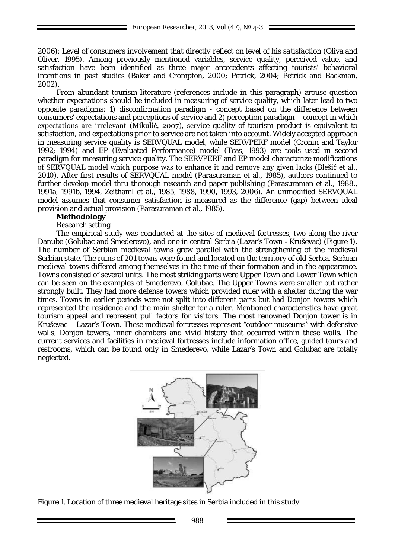2006); *Level of consumers involvement that directly reflect on level of his satisfaction* (Oliva and Oliver, 1995). Among previously mentioned variables, service quality, perceived value, and satisfaction have been identified as three major antecedents affecting tourists' behavioral intentions in past studies (Baker and Crompton, 2000; Petrick, 2004; Petrick and Backman, 2002).

From abundant tourism literature (references include in this paragraph) arouse question whether expectations should be included in measuring of service quality, which later lead to two opposite paradigms: 1) disconfirmation paradigm - concept based on the difference between consumers' expectations and perceptions of service and 2) perception paradigm – concept in which expectations are irrelevant (Mikulić, 2007), service quality of tourism product is equivalent to satisfaction, and expectations prior to service are not taken into account. Widely accepted approach in measuring service quality is SERVQUAL model, while SERVPERF model (Cronin and Taylor 1992; 1994) and EP (Evaluated Performance) model (Teas, 1993) are tools used in second paradigm for measuring service quality. The SERVPERF and EP model characterize modifications of SERVQUAL model which purpose was to enhance it and remove any given lacks (Blešić et al., 2010). After first results of SERVQUAL model (Parasuraman et al., 1985), authors continued to further develop model thru thorough research and paper publishing (Parasuraman et al., 1988., 1991a, 1991b, 1994, Zeithaml et al., 1985, 1988, 1990, 1993, 2006). An unmodified SERVQUAL model assumes that consumer satisfaction is measured as the difference (gap) between ideal provision and actual provision (Parasuraman et al., 1985).

#### **Methodology**

*Research setting*

The empirical study was conducted at the sites of medieval fortresses, two along the river Danube (Golubac and Smederevo), and one in central Serbia (Lazar's Town - Kruševac) (Figure 1). The number of Serbian medieval towns grew parallel with the strengthening of the medieval Serbian state. The ruins of 201 towns were found and located on the territory of old Serbia. Serbian medieval towns differed among themselves in the time of their formation and in the appearance. Towns consisted of several units. The most striking parts were Upper Town and Lower Town which can be seen on the examples of Smederevo, Golubac. The Upper Towns were smaller but rather strongly built. They had more defense towers which provided ruler with a shelter during the war times. Towns in earlier periods were not split into different parts but had Donjon towers which represented the residence and the main shelter for a ruler. Mentioned characteristics have great tourism appeal and represent pull factors for visitors. The most renowned Donjon tower is in Kruševac – Lazar's Town. These medieval fortresses represent "outdoor museums" with defensive walls, Donjon towers, inner chambers and vivid history that occurred within these walls. The current services and facilities in medieval fortresses include information office, guided tours and restrooms, which can be found only in Smederevo, while Lazar's Town and Golubac are totally neglected.



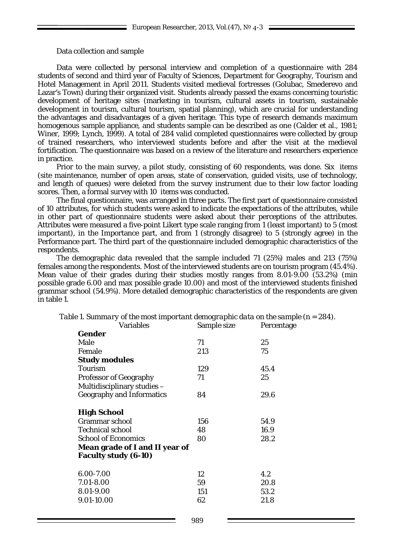#### Data collection and sample

Data were collected by personal interview and completion of a questionnaire with 284 students of second and third year of Faculty of Sciences, Department for Geography, Tourism and Hotel Management in April 2011. Students visited medieval fortresses (Golubac, Smederevo and Lazar's Town) during their organized visit. Students already passed the exams concerning touristic development of heritage sites (marketing in tourism, cultural assets in tourism, sustainable development in tourism, cultural tourism, spatial planning), which are crucial for understanding the advantages and disadvantages of a given heritage. This type of research demands maximum homogenous sample appliance, and students sample can be described as one (Calder et al., 1981; Winer, 1999; Lynch, 1999). A total of 284 valid completed questionnaires were collected by group of trained researchers, who interviewed students before and after the visit at the medieval fortification. The questionnaire was based on a review of the literature and researchers experience in practice.

Prior to the main survey, a pilot study, consisting of 60 respondents, was done. Six items (site maintenance, number of open areas, state of conservation, guided visits, use of technology, and length of queues) were deleted from the survey instrument due to their low factor loading scores. Then, a formal survey with 10 items was conducted.

The final questionnaire, was arranged in three parts. The first part of questionnaire consisted of 10 attributes, for which students were asked to indicate the expectations of the attributes, while in other part of questionnaire students were asked about their perceptions of the attributes. Attributes were measured a five-point Likert type scale ranging from 1 (least important) to 5 (most important), in the Importance part, and from 1 (strongly disagree) to 5 (strongly agree) in the Performance part. The third part of the questionnaire included demographic characteristics of the respondents.

The demographic data revealed that the sample included 71 (25%) males and 213 (75%) females among the respondents. Most of the interviewed students are on tourism program (45.4%). Mean value of their grades during their studies mostly ranges from 8.01-9.00 (53.2%) (min possible grade 6.00 and max possible grade 10.00) and most of the interviewed students finished grammar school (54.9%). More detailed demographic characteristics of the respondents are given in table 1.

| Variables                                                            | Sample size | Percentage |  |  |
|----------------------------------------------------------------------|-------------|------------|--|--|
| Gender                                                               |             |            |  |  |
| Male                                                                 | 71          | 25         |  |  |
| Female                                                               | 213         | 75         |  |  |
| <b>Study modules</b>                                                 |             |            |  |  |
| Tourism                                                              | 129         | 45.4       |  |  |
| <b>Professor of Geography</b>                                        | 71          | 25         |  |  |
| Multidisciplinary studies -                                          |             |            |  |  |
| <b>Geography and Informatics</b>                                     | 84          | 29.6       |  |  |
| <b>High School</b>                                                   |             |            |  |  |
| <b>Grammar</b> school                                                | 156         | 54.9       |  |  |
| <b>Technical school</b>                                              | 48          | 16.9       |  |  |
| <b>School of Economics</b>                                           | 80          | 28.2       |  |  |
| <b>Mean grade of I and II year of</b><br><b>Faculty study (6-10)</b> |             |            |  |  |
| 6.00-7.00                                                            | 12          | 4.2        |  |  |
| 7.01-8.00                                                            | 59          | 20.8       |  |  |
| 8.01-9.00                                                            | 151         | 53.2       |  |  |
| 9.01-10.00                                                           | 62          | 21.8       |  |  |

*Table 1. Summary of the most important demographic data on the sample (n = 284).*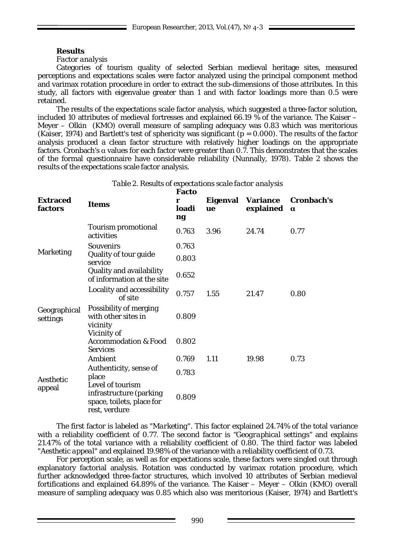# **Results**

# *Factor analysis*

Categories of tourism quality of selected Serbian medieval heritage sites, measured perceptions and expectations scales were factor analyzed using the principal component method and varimax rotation procedure in order to extract the sub-dimensions of those attributes. In this study, all factors with eigenvalue greater than 1 and with factor loadings more than 0.5 were retained.

The results of the expectations scale factor analysis, which suggested a three-factor solution, included 10 attributes of medieval fortresses and explained 66.19 % of the variance. The Kaiser – Meyer – Olkin (KMO) overall measure of sampling adequacy was 0.83 which was meritorious (Kaiser, 1974) and Bartlett's test of sphericity was significant (*p* = 0.000). The results of the factor analysis produced a clean factor structure with relatively higher loadings on the appropriate factors. Cronbach's α values for each factor were greater than 0.7. This demonstrates that the scales of the formal questionnaire have considerable reliability (Nunnally, 1978). Table 2 shows the results of the expectations scale factor analysis.

| <b>Extraced</b><br>factors                                                                                                                                                   | <b>Items</b>                                           | rallu<br>r<br>loadi<br>ng | Eigenval<br>ue | <b>Variance</b><br>explained | Cronbach's<br>$\alpha$ |
|------------------------------------------------------------------------------------------------------------------------------------------------------------------------------|--------------------------------------------------------|---------------------------|----------------|------------------------------|------------------------|
|                                                                                                                                                                              | <b>Tourism promotional</b><br>activities               | 0.763                     | 3.96           | 24.74                        | 0.77                   |
| <b>Marketing</b><br>service                                                                                                                                                  | <b>Souvenirs</b>                                       | 0.763                     |                |                              |                        |
|                                                                                                                                                                              | Quality of tour guide                                  | 0.803                     |                |                              |                        |
|                                                                                                                                                                              | Quality and availability<br>of information at the site | 0.652                     |                |                              |                        |
| of site<br><b>Possibility of merging</b><br>Geographical<br>with other sites in<br>settings<br>vicinity<br>Vicinity of<br><b>Accommodation &amp; Food</b><br><b>Services</b> | Locality and accessibility                             | 0.757                     | 1.55           | 21.47                        | 0.80                   |
|                                                                                                                                                                              |                                                        | 0.809                     |                |                              |                        |
|                                                                                                                                                                              |                                                        | 0.802                     |                |                              |                        |
| Ambient<br>Authenticity, sense of<br>place<br>Aesthetic<br>Level of tourism<br>appeal<br>infrastructure (parking<br>space, toilets, place for<br>rest, verdure               |                                                        | 0.769                     | 1.11           | 19.98                        | 0.73                   |
|                                                                                                                                                                              |                                                        | 0.783                     |                |                              |                        |
|                                                                                                                                                                              |                                                        | 0.809                     |                |                              |                        |

#### *Table 2. Results of expectations scale factor analysis* **Facto**

The first factor is labeled as *"Marketing".* This factor explained 24.74% of the total variance with a reliability coefficient of 0.77. The second factor is *"Geographical settings"* and explains 21.47% of the total variance with a reliability coefficient of 0.80. The third factor was labeled *"Aesthetic appeal"* and explained 19.98% of the variance with a reliability coefficient of 0.73.

For perception scale, as well as for expectations scale, these factors were singled out through explanatory factorial analysis. Rotation was conducted by varimax rotation procedure, which further acknowledged three-factor structures, which involved 10 attributes of Serbian medieval fortifications and explained 64.89% of the variance. The Kaiser – Meyer – Olkin (KMO) overall measure of sampling adequacy was 0.85 which also was meritorious (Kaiser, 1974) and Bartlett's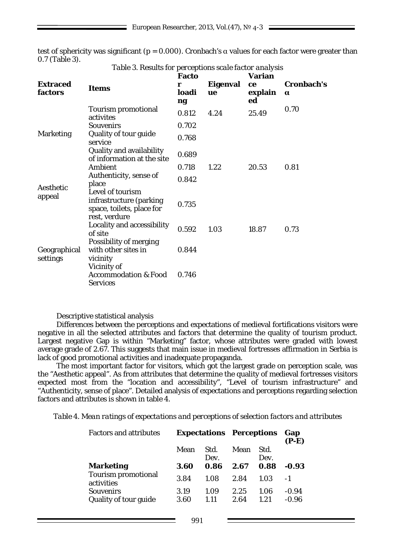test of sphericity was significant ( $p = 0.000$ ). Cronbach's  $\alpha$  values for each factor were greater than 0.7 (Table 3).

|                            |                                                                                           | <b>Facto</b> |                | Varian        |                        |
|----------------------------|-------------------------------------------------------------------------------------------|--------------|----------------|---------------|------------------------|
| <b>Extraced</b><br>factors | <b>Items</b>                                                                              | r<br>loadi   | Eigenval<br>ue | ce<br>explain | Cronbach's<br>$\alpha$ |
|                            |                                                                                           | ng           |                | ed            |                        |
| <b>Marketing</b>           | Tourism promotional<br>activites                                                          | 0.812        | 4.24           | 25.49         | 0.70                   |
|                            | <b>Souvenirs</b>                                                                          | 0.702        |                |               |                        |
|                            | Quality of tour guide<br>service                                                          | 0.768        |                |               |                        |
|                            | Quality and availability<br>of information at the site                                    | 0.689        |                |               |                        |
| Aesthetic<br>appeal        | Ambient                                                                                   | 0.718        | 1.22           | 20.53         | 0.81                   |
|                            | Authenticity, sense of<br>place                                                           | 0.842        |                |               |                        |
|                            | Level of tourism<br>infrastructure (parking<br>space, toilets, place for<br>rest, verdure | 0.735        |                |               |                        |
| Geographical<br>settings   | Locality and accessibility<br>of site                                                     | 0.592        | 1.03           | 18.87         | 0.73                   |
|                            | Possibility of merging<br>with other sites in<br>vicinity<br>Vicinity of                  | 0.844        |                |               |                        |
|                            | <b>Accommodation &amp; Food</b><br><b>Services</b>                                        | 0.746        |                |               |                        |

*Table 3. Results for perceptions scale factor analysis*

#### Descriptive statistical analysis

Differences between the perceptions and expectations of medieval fortifications visitors were negative in all the selected attributes and factors that determine the quality of tourism product. Largest negative Gap is within "Marketing" factor, whose attributes were graded with lowest average grade of 2.67. This suggests that main issue in medieval fortresses affirmation in Serbia is lack of good promotional activities and inadequate propaganda.

The most important factor for visitors, which got the largest grade on perception scale, was the "Aesthetic appeal". As from attributes that determine the quality of medieval fortresses visitors expected most from the "location and accessibility", "Level of tourism infrastructure" and "Authenticity, sense of place". Detailed analysis of expectations and perceptions regarding selection factors and attributes is shown in table 4.

*Table 4. Mean ratings of expectations and perceptions of selection factors and attributes*

| <b>Factors and attributes</b>             | <b>Expectations Perceptions</b> |              |              | Gap<br>$(P-E)$ |                    |
|-------------------------------------------|---------------------------------|--------------|--------------|----------------|--------------------|
|                                           | Mean                            | Std.<br>Dev. | Mean         | Std.<br>Dev.   |                    |
| <b>Marketing</b>                          | 3.60                            | 0.86         | 2.67         | 0.88           | $-0.93$            |
| <b>Tourism promotional</b><br>activities  | 3.84                            | 1.08         | 2.84         | 1.03           | $-1$               |
| <b>Souvenirs</b><br>Quality of tour guide | 3.19<br>3.60                    | 1.09<br>1.11 | 2.25<br>2.64 | 1.06<br>1.21   | $-0.94$<br>$-0.96$ |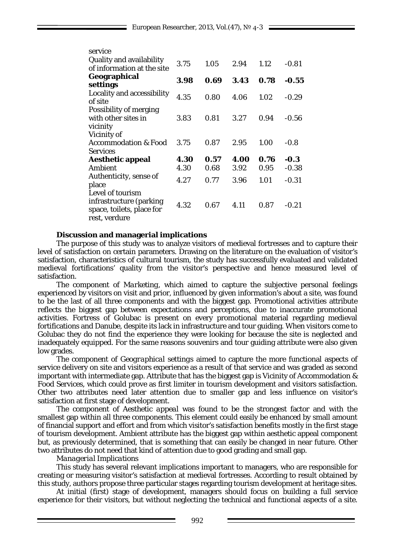| service                                                                                   |      |      |      |      |         |
|-------------------------------------------------------------------------------------------|------|------|------|------|---------|
| Quality and availability                                                                  | 3.75 | 1.05 | 2.94 | 1.12 | $-0.81$ |
| of information at the site                                                                |      |      |      |      |         |
| Geographical<br>settings                                                                  | 3.98 | 0.69 | 3.43 | 0.78 | $-0.55$ |
| Locality and accessibility<br>of site                                                     | 4.35 | 0.80 | 4.06 | 1.02 | $-0.29$ |
| Possibility of merging<br>with other sites in                                             | 3.83 | 0.81 | 3.27 | 0.94 | $-0.56$ |
| vicinity<br>Vicinity of                                                                   |      |      |      |      |         |
| Accommodation & Food<br><b>Services</b>                                                   | 3.75 | 0.87 | 2.95 | 1.00 | $-0.8$  |
| <b>Aesthetic appeal</b>                                                                   | 4.30 | 0.57 | 4.00 | 0.76 | $-0.3$  |
| <b>Ambient</b>                                                                            | 4.30 | 0.68 | 3.92 | 0.95 | $-0.38$ |
| Authenticity, sense of<br>place                                                           | 4.27 | 0.77 | 3.96 | 1.01 | $-0.31$ |
| Level of tourism<br>infrastructure (parking<br>space, toilets, place for<br>rest, verdure | 4.32 | 0.67 | 4.11 | 0.87 | $-0.21$ |
|                                                                                           |      |      |      |      |         |

## **Discussion and managerial implications**

The purpose of this study was to analyze visitors of medieval fortresses and to capture their level of satisfaction on certain parameters. Drawing on the literature on the evaluation of visitor's satisfaction, characteristics of cultural tourism, the study has successfully evaluated and validated medieval fortifications' quality from the visitor's perspective and hence measured level of satisfaction.

The component of *Marketing*, which aimed to capture the subjective personal feelings experienced by visitors on visit and prior, influenced by given information's about a site, was found to be the last of all three components and with the biggest gap. Promotional activities attribute reflects the biggest gap between expectations and perceptions, due to inaccurate promotional activities. Fortress of Golubac is present on every promotional material regarding medieval fortifications and Danube, despite its lack in infrastructure and tour guiding. When visitors come to Golubac they do not find the experience they were looking for because the site is neglected and inadequately equipped. For the same reasons souvenirs and tour guiding attribute were also given low grades.

The component of *Geographical settings* aimed to capture the more functional aspects of service delivery on site and visitors experience as a result of that service and was graded as second important with intermediate gap. Attribute that has the biggest gap is Vicinity of Accommodation & Food Services, which could prove as first limiter in tourism development and visitors satisfaction. Other two attributes need later attention due to smaller gap and less influence on visitor's satisfaction at first stage of development.

The component of *Aesthetic appeal* was found to be the strongest factor and with the smallest gap within all three components. This element could easily be enhanced by small amount of financial support and effort and from which visitor's satisfaction benefits mostly in the first stage of tourism development. Ambient attribute has the biggest gap within aesthetic appeal component but, as previously determined, that is something that can easily be changed in near future. Other two attributes do not need that kind of attention due to good grading and small gap.

#### *Managerial Implications*

This study has several relevant implications important to managers, who are responsible for creating or measuring visitor's satisfaction at medieval fortresses. According to result obtained by this study, authors propose three particular stages regarding tourism development at heritage sites.

At initial (first) stage of development, managers should focus on building a full service experience for their visitors, but without neglecting the technical and functional aspects of a site.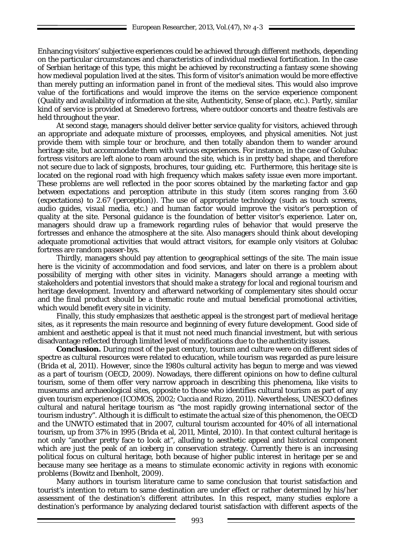Enhancing visitors' subjective experiences could be achieved through different methods, depending on the particular circumstances and characteristics of individual medieval fortification. In the case of Serbian heritage of this type, this might be achieved by reconstructing a fantasy scene showing how medieval population lived at the sites. This form of visitor's animation would be more effective than merely putting an information panel in front of the medieval sites. This would also improve value of the fortifications and would improve the items on the service experience component (Quality and availability of information at the site, Authenticity, Sense of place, etc.). Partly, similar kind of service is provided at Smederevo fortress, where outdoor concerts and theatre festivals are held throughout the year.

At second stage, managers should deliver better service quality for visitors, achieved through an appropriate and adequate mixture of processes, employees, and physical amenities. Not just provide them with simple tour or brochure, and then totally abandon them to wander around heritage site, but accommodate them with various experiences. For instance, in the case of Golubac fortress visitors are left alone to roam around the site, which is in pretty bad shape, and therefore not secure due to lack of signposts, brochures, tour guiding, etc. Furthermore, this heritage site is located on the regional road with high frequency which makes safety issue even more important. These problems are well reflected in the poor scores obtained by the marketing factor and gap between expectations and perception attribute in this study (item scores ranging from 3.60 (expectations) to 2.67 (perception)). The use of appropriate technology (such as touch screens, audio guides, visual media, etc.) and human factor would improve the visitor's perception of quality at the site. Personal guidance is the foundation of better visitor's experience. Later on, managers should draw up a framework regarding rules of behavior that would preserve the fortresses and enhance the atmosphere at the site. Also managers should think about developing adequate promotional activities that would attract visitors, for example only visitors at Golubac fortress are random passer-bys.

Thirdly, managers should pay attention to geographical settings of the site. The main issue here is the vicinity of accommodation and food services, and later on there is a problem about possibility of merging with other sites in vicinity. Managers should arrange a meeting with stakeholders and potential investors that should make a strategy for local and regional tourism and heritage development. Inventory and afterward networking of complementary sites should occur and the final product should be a thematic route and mutual beneficial promotional activities, which would benefit every site in vicinity.

Finally, this study emphasizes that aesthetic appeal is the strongest part of medieval heritage sites, as it represents the main resource and beginning of every future development. Good side of ambient and aesthetic appeal is that it must not need much financial investment, but with serious disadvantage reflected through limited level of modifications due to the authenticity issues.

**Conclusion.** During most of the past century, tourism and culture were on different sides of spectre as cultural resources were related to education, while tourism was regarded as pure leisure (Brida et al, 2011). However, since the 1980s cultural activity has begun to merge and was viewed as a part of tourism (OECD, 2009). Nowadays, there different opinions on how to define cultural tourism, some of them offer very narrow approach in describing this phenomena, like visits to museums and archaeological sites, opposite to those who identifies cultural tourism as part of any given tourism experience (ICOMOS, 2002; Cuccia and Rizzo, 2011). Nevertheless, UNESCO defines cultural and natural heritage tourism as "the most rapidly growing international sector of the tourism industry". Although it is difficult to estimate the actual size of this phenomenon, the OECD and the UNWTO estimated that in 2007, cultural tourism accounted for 40% of all international tourism, up from 37% in 1995 (Brida et al, 2011, Mintel, 2010). In that context cultural heritage is not only "another pretty face to look at", alluding to aesthetic appeal and historical component which are just the peak of an iceberg in conservation strategy. Currently there is an increasing political focus on cultural heritage, both because of higher public interest in heritage per se and because many see heritage as a means to stimulate economic activity in regions with economic problems (Bowitz and Ibenholt, 2009).

Many authors in tourism literature came to same conclusion that tourist satisfaction and tourist's intention to return to same destination are under effect or rather determined by his/her assessment of the destination's different attributes. In this respect, many studies explore a destination's performance by analyzing declared tourist satisfaction with different aspects of the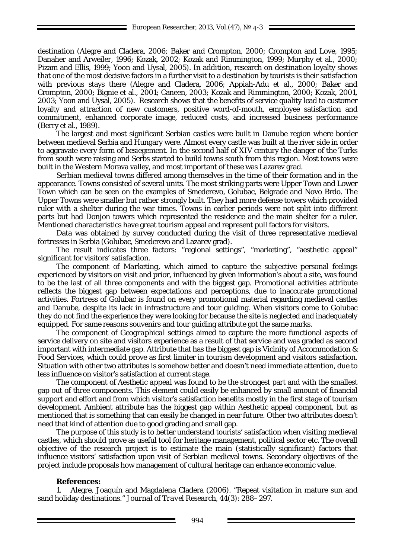destination (Alegre and Cladera, 2006; Baker and Crompton, 2000; Crompton and Love, 1995; Danaher and Arweiler, 1996; Kozak, 2002; Kozak and Rimmington, 1999; Murphy et al., 2000; Pizam and Ellis, 1999; Yoon and Uysal, 2005). In addition, research on destination loyalty shows that one of the most decisive factors in a further visit to a destination by tourists is their satisfaction with previous stays there (Alegre and Cladera, 2006; Appiah-Adu et al., 2000; Baker and Crompton, 2000; Bignie et al., 2001; Caneen, 2003; Kozak and Rimmington, 2000; Kozak, 2001, 2003; Yoon and Uysal, 2005). Research shows that the benefits of service quality lead to customer loyalty and attraction of new customers, positive word-of-mouth, employee satisfaction and commitment, enhanced corporate image, reduced costs, and increased business performance (Berry et al., 1989).

The largest and most significant Serbian castles were built in Danube region where border between medieval Serbia and Hungary were. Almost every castle was built at the river side in order to aggravate every form of besiegement. In the second half of XIV century the danger of the Turks from south were raising and Serbs started to build towns south from this region. Most towns were built in the Western Morava valley, and most important of these was Lazarev grad.

Serbian medieval towns differed among themselves in the time of their formation and in the appearance. Towns consisted of several units. The most striking parts were Upper Town and Lower Town which can be seen on the examples of Smederevo, Golubac, Belgrade and Novo Brdo. The Upper Towns were smaller but rather strongly built. They had more defense towers which provided ruler with a shelter during the war times. Towns in earlier periods were not split into different parts but had Donjon towers which represented the residence and the main shelter for a ruler. Mentioned characteristics have great tourism appeal and represent pull factors for visitors.

Data was obtained by survey conducted during the visit of three representative medieval fortresses in Serbia (Golubac, Smederevo and Lazarev grad).

The result indicates three factors: "regional settings", "marketing", "aesthetic appeal" significant for visitors' satisfaction.

The component of *Marketing*, which aimed to capture the subjective personal feelings experienced by visitors on visit and prior, influenced by given information's about a site, was found to be the last of all three components and with the biggest gap. Promotional activities attribute reflects the biggest gap between expectations and perceptions, due to inaccurate promotional activities. Fortress of Golubac is found on every promotional material regarding medieval castles and Danube, despite its lack in infrastructure and tour guiding. When visitors come to Golubac they do not find the experience they were looking for because the site is neglected and inadequately equipped. For same reasons souvenirs and tour guiding attribute got the same marks.

The component of *Geographical settings* aimed to capture the more functional aspects of service delivery on site and visitors experience as a result of that service and was graded as second important with intermediate gap. Attribute that has the biggest gap is Vicinity of Accommodation & Food Services, which could prove as first limiter in tourism development and visitors satisfaction. Situation with other two attributes is somehow better and doesn't need immediate attention, due to less influence on visitor's satisfaction at current stage.

The component of *Aesthetic appeal* was found to be the strongest part and with the smallest gap out of three components. This element could easily be enhanced by small amount of financial support and effort and from which visitor's satisfaction benefits mostly in the first stage of tourism development. Ambient attribute has the biggest gap within Aesthetic appeal component, but as mentioned that is something that can easily be changed in near future. Other two attributes doesn't need that kind of attention due to good grading and small gap.

The purpose of this study is to better understand tourists' satisfaction when visiting medieval castles, which should prove as useful tool for heritage management, political sector etc. The overall objective of the research project is to estimate the main (statistically significant) factors that influence visitors' satisfaction upon visit of Serbian medieval towns. Secondary objectives of the project include proposals how management of cultural heritage can enhance economic value.

# **References:**

1. Alegre, Joaquín and Magdalena Cladera (2006). "Repeat visitation in mature sun and sand holiday destinations." *Journal of Travel Research*, 44(3): 288–297.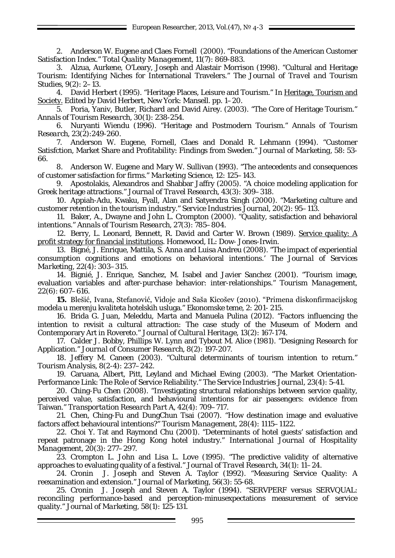European Researcher, 2013, Vol. (47),  $N^{\circ}$  4-3

2. Anderson W. Eugene and Claes Fornell (2000). "Foundations of the American Customer Satisfaction Index." *Total Quality Management*, 11(7): 869-883.

3. Alzua, Aurkene, O'Leary, Joseph and Alastair Morrison (1998). "Cultural and Heritage Tourism: Identifying Niches for International Travelers." *The Journal of Travel and Tourism Studies*, 9(2): 2–13.

4. David Herbert (1995). "Heritage Places, Leisure and Tourism." In Heritage, Tourism and Society. Edited by David Herbert, New York: Mansell. pp. 1–20.

5. Poria, Yaniv, Butler, Richard and David Airey. (2003). "The Core of Heritage Tourism." *Annals of Tourism Research*, 30(1): 238-254.

6. Nuryanti Wiendu (1996). "Heritage and Postmodern Tourism." *Annals of Tourism Research*, 23(2):249-260.

7. Anderson W. Eugene, Fornell, Claes and Donald R. Lehmann (1994). "Customer Satisfction, Market Share and Profitability: Findings from Sweden." *Journal of Marketing*, 58: 53- 66.

8. Anderson W. Eugene and Mary W. Sullivan (1993). "The antecedents and consequences of customer satisfaction for firms." *Marketing Science*, 12: 125–143.

9. Apostolakis, Alexandros and Shabbar Jaffry (2005). "A choice modeling application for Greek heritage attractions." *Journal of Travel Research*, 43(3): 309–318.

10. Appiah-Adu, Kwaku, Fyall, Alan and Satyendra Singh (2000). "Marketing culture and customer retention in the tourism industry." *Service Industries Journal*, 20(2): 95–113.

11. Baker, A., Dwayne and John L. Crompton (2000). "Quality, satisfaction and behavioral intentions." *Annals of Tourism Research*, 27(3): 785–804.

12. Berry, L. Leonard, Bennett, R. David and Carter W. Brown (1989). Service quality: A profit strategy for financial institutions. Homewood, IL: Dow- Jones-Irwin.

13. Bigné, J. Enrique, Mattila, S. Anna and Luisa Andreu (2008). "The impact of experiential consumption cognitions and emotions on behavioral intentions.' *The Journal of Services Marketing*, 22(4): 303–315.

14. Bignié, J. Enrique, Sanchez, M. Isabel and Javier Sanchez (2001). "Tourism image, evaluation variables and after-purchase behavior: inter-relationships." *Tourism Management*, 22(6): 607–616.

**15.** Blešić, Ivana, Stefanović, Vidoje and Saša Kicošev (2010). "Primena diskonfirmacijskog modela u merenju kvaliteta hotelskih usluga." *Ekonomske teme*, 2: 201- 215.

16. Brida G. Juan, Meleddu, Marta and Manuela Pulina (2012). "Factors influencing the intention to revisit a cultural attraction: The case study of the Museum of Modern and Contemporary Art in Rovereto." *Journal of Cultural Heritage*, 13(2): 167-174.

17. Calder J. Bobby, Phillips W. Lynn and Tybout M. Alice (1981). "Designing Research for Application." *Journal of Consumer Research*, 8(2): 197-207.

18. Jeffery M. Caneen (2003). "Cultural determinants of tourism intention to return." *Tourism Analysis*, 8(2-4): 237–242.

19. Caruana, Albert, Pitt, Leyland and Michael Ewing (2003). "The Market Orientation-Performance Link: The Role of Service Reliability." *The Service Industries Journal*, 23(4): 5-41.

20. Ching-Fu Chen (2008). "Investigating structural relationships between service quality, perceived value, satisfaction, and behavioural intentions for air passengers: evidence from Taiwan." *Transportation Research Part A*, 42(4): 709–717.

21. Chen, Ching-Fu and DungChun Tsai (2007). "How destination image and evaluative factors affect behavioural intentions?" *Tourism Management*, 28(4): 1115–1122.

22. Choi Y. Tat and Raymond Chu (2001). "Determinants of hotel guests' satisfaction and repeat patronage in the Hong Kong hotel industry." *International Journal of Hospitality Management*, 20(3): 277–297.

23. Crompton L. John and Lisa L. Love (1995). "The predictive validity of alternative approaches to evaluating quality of a festival." *Journal of Travel Research*, 34(1): 11–24.

24. Cronin J. Joseph and Steven A. Taylor (1992). "Measuring Service Quality: A reexamination and extension." *Journal of Marketing*, 56(3): 55-68.

25. Cronin J. Joseph and Steven A. Taylor (1994). "SERVPERF versus SERVQUAL: reconciling performance-based and perception-minusexpectations measurement of service quality." *Journal of Marketing*, 58(1): 125-131.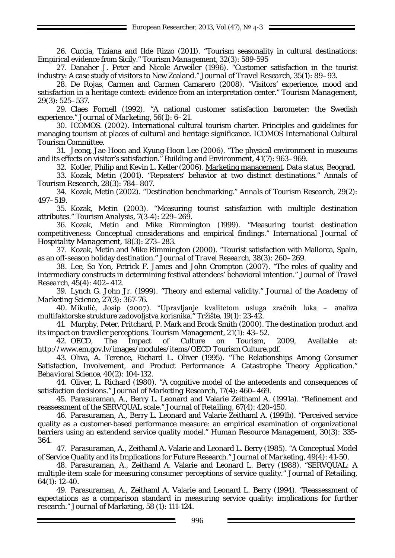26. Cuccia, Tiziana and Ilde Rizzo (2011). "Tourism seasonality in cultural destinations: Empirical evidence from Sicily." *Tourism Management*, 32(3): 589-595

27. Danaher J. Peter and Nicole Arweiler (1996). "Customer satisfaction in the tourist industry: A case study of visitors to New Zealand." *Journal of Travel Research*, 35(1): 89–93.

28. De Rojas, Carmen and Carmen Camarero (2008). "Visitors' experience, mood and satisfaction in a heritage context: evidence from an interpretation center." *Tourism Management*, 29(3): 525–537.

29. Claes Fornell (1992). "A national customer satisfaction barometer: the Swedish experience." *Journal of Marketing*, 56(1): 6–21.

30. ICOMOS. (2002). International cultural tourism charter. Principles and guidelines for managing tourism at places of cultural and heritage significance. ICOMOS International Cultural Tourism Committee.

31. Jeong, Jae-Hoon and Kyung-Hoon Lee (2006). "The physical environment in museums and its effects on visitor's satisfaction." *Building and Environment*, 41(7): 963–969.

32. Kotler, Philip and Kevin L. Keller (2006). Marketing management. Data status, Beograd.

33. Kozak, Metin (2001). "Repeaters' behavior at two distinct destinations." *Annals of Tourism Research*, 28(3): 784–807.

34. Kozak, Metin (2002). "Destination benchmarking." *Annals of Tourism Research*, 29(2): 497–519.

35. Kozak, Metin (2003). "Measuring tourist satisfaction with multiple destination attributes." *Tourism Analysis*, 7(3-4): 229–269.

36. Kozak, Metin and Mike Rimmington (1999). "Measuring tourist destination competitiveness: Conceptual considerations and empirical findings." *International Journal of Hospitality Management*, 18(3): 273–283.

37. Kozak, Metin and Mike Rimmington (2000). "Tourist satisfaction with Mallorca, Spain, as an off-season holiday destination." *Journal of Travel Research*, 38(3): 260–269.

38. Lee, So Yon, Petrick F. James and John Crompton (2007). "The roles of quality and intermediary constructs in determining festival attendees' behavioral intention." *Journal of Travel Research*, 45(4): 402–412.

39. Lynch G. John Jr. (1999). "Theory and external validity." *Journal of the Academy of Marketing Science*, 27(3): 367-76.

40. Mikulić, Josip (2007). "Upravljanje kvalitetom usluga zračnih luka – analiza multifaktorske strukture zadovoljstva korisnika." *Tržište*, 19(1): 23-42.

41. Murphy, Peter, Pritchard, P. Mark and Brock Smith (2000). The destination product and its impact on traveller perceptions. Tourism Management, 21(1): 43–52.

42. OECD, The Impact of Culture on Tourism, 2009, Available at: http://www.em.gov.lv/images/modules/items/OECD Tourism Culture.pdf.

43. Oliva, A. Terence, Richard L. Oliver (1995). "The Relationships Among Consumer Satisfaction, Involvement, and Product Performance: A Catastrophe Theory Application." *Behavioral Science*, 40(2): 104-132.

44. Oliver, L. Richard (1980). "A cognitive model of the antecedents and consequences of satisfaction decisions." *Journal of Marketing Research*, 17(4): 460–469.

45. Parasuraman, A., Berry L. Leonard and Valarie Zeithaml A. (1991a). "Refinement and reassessment of the SERVQUAL scale." *Journal of Retailing*, 67(4): 420-450.

46. Parasuraman, A., Berry L. Leonard and Valarie Zeithaml A. (1991b). "Perceived service quality as a customer-based performance measure: an empirical examination of organizational barriers using an extendend service quality model." *Human Resource Management*, 30(3): 335- 364.

47. Parasuraman, A., Zeithaml A. Valarie and Leonard L. Berry (1985). "A Conceptual Model of Service Quality and its Implications for Future Research." *Journal of Marketing*, 49(4): 41-50.

48. Parasuraman, A., Zeithaml A. Valarie and Leonard L. Berry (1988). "SERVQUAL: A multiple-item scale for measuring consumer perceptions of service quality." *Journal of Retailing*, 64(1): 12-40.

49. Parasuraman, A., Zeithaml A. Valarie and Leonard L. Berry (1994). "Reassessment of expectations as a comparison standard in measuring service quality: implications for further research." *Journal of Marketing*, 58 (1): 111-124.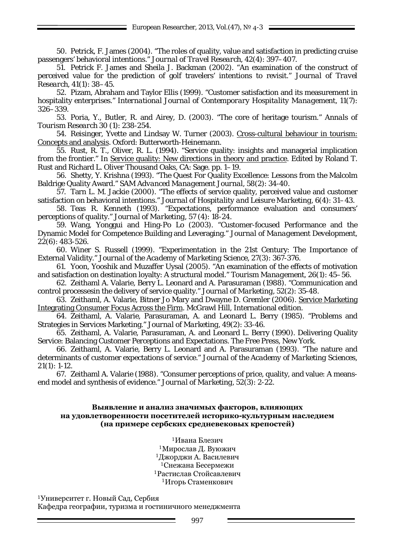50. Petrick, F. James (2004). "The roles of quality, value and satisfaction in predicting cruise passengers' behavioral intentions." *Journal of Travel Research*, 42(4): 397–407.

51. Petrick F. James and Sheila J. Backman (2002). "An examination of the construct of perceived value for the prediction of golf travelers' intentions to revisit." *Journal of Travel Research*, 41(1): 38–45.

52. Pizam, Abraham and Taylor Ellis (1999). "Customer satisfaction and its measurement in hospitality enterprises." *International Journal of Contemporary Hospitality Management*, 11(7): 326–339.

53. Poria, Y., Butler, R. and Airey, D. (2003). "The core of heritage tourism." *Annals of Tourism Research* 30 (1): 238-254.

54. Reisinger, Yvette and Lindsay W. Turner (2003). Cross-cultural behaviour in tourism: Concepts and analysis. Oxford: Butterworth-Heinemann.

55. Rust, R. T., Oliver, R. L. (1994). "Service quality: insights and managerial implication from the frontier." In Service quality: New directions in theory and practice. Edited by Roland T. Rust and Richard L. Oliver Thousand Oaks, CA: Sage. pp. 1–19.

56. Shetty, Y. Krishna (1993). "The Quest For Quality Excellence: Lessons from the Malcolm Baldrige Quality Award." *SAM Advanced Management Journal*, 58(2): 34-40.

57. Tarn L. M. Jackie (2000). "The effects of service quality, perceived value and customer satisfaction on behavioral intentions." *Journal of Hospitality and Leisure Marketing*, 6(4): 31–43.

58. Teas R. Kenneth (1993). "Expectations, performance evaluation and consumers' perceptions of quality." *Journal of Marketing*, 57 (4): 18-24.

59. Wang, Yonggui and Hing-Po Lo (2003). "Customer-focused Performance and the Dynamic Model for Competence Building and Leveraging." *Journal of Management Development*, 22(6): 483-526.

60. Winer S. Russell (1999). "Experimentation in the 21st Century: The Importance of External Validity." *Journal of the Academy of Marketing Science*, 27(3): 367-376.

61. Yoon, Yooshik and Muzaffer Uysal (2005). "An examination of the effects of motivation and satisfaction on destination loyalty: A structural model." *Tourism Management*, 26(1): 45–56.

62. Zeithaml A. Valarie, Berry L. Leonard and A. Parasuraman (1988). "Communication and control processesin the delivery of service quality." *Journal of Marketing*, 52(2): 35-48.

63. Zeithaml, A. Valarie, Bitner Jo Mary and Dwayne D. Gremler (2006). Service Marketing Integrating Consumer Focus Across the Firm. McGrawl Hill, International edition.

64. Zeithaml, A. Valarie, Parasuraman, A. and Leonard L. Berry (1985). "Problems and Strategies in Services Marketing." *Journal of Marketing*, 49(2): 33-46.

65. Zeithaml, A. Valarie, Parasuraman, A. and Leonard L. Berry (1990). Delivering Quality Service: Balancing Customer Perceptions and Expectations. The Free Press, New York.

66. Zeithaml, A. Valarie, Berry L. Leonard and A. Parasuraman (1993). "The nature and determinants of customer expectations of service." *Journal of the Academy of Marketing Sciences*, 21(1): 1-12.

67. Zeithaml A. Valarie (1988). "Consumer perceptions of price, quality, and value: A meansend model and synthesis of evidence." *Journal of Marketing*, 52(3): 2-22.

### **Выявление и анализ значимых факторов, влияющих на удовлетворенности посетителей историко-культурным наследием (на примере сербских средневековых крепостей)**

Ивана Блезич Мирослав Д. Вуюжич Джорджи А. Василевич Снежана Бесермежи Растислав Стойсавлевич Игорь Стаменкович

<sup>1</sup>Университет г. Новый Сад, Сербия Кафедра географии, туризма и гостиничного менеджмента